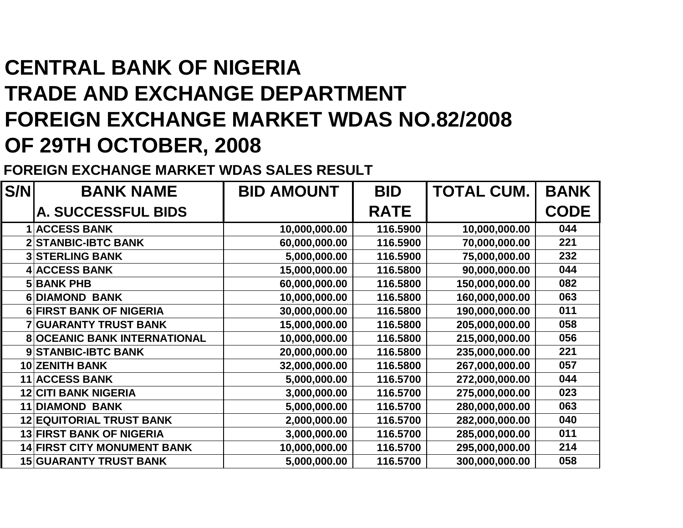## **CENTRAL BANK OF NIGERIA TRADE AND EXCHANGE DEPARTMENT FOREIGN EXCHANGE MARKET WDAS NO.82/2008OF 29TH OCTOBER, 2008**

**FOREIGN EXCHANGE MARKET WDAS SALES RESULT**

| S/N | <b>BANK NAME</b>                    | <b>BID AMOUNT</b> | <b>BID</b>  | <b>TOTAL CUM.</b> | <b>BANK</b> |
|-----|-------------------------------------|-------------------|-------------|-------------------|-------------|
|     | A. SUCCESSFUL BIDS                  |                   | <b>RATE</b> |                   | <b>CODE</b> |
|     | <b>ACCESS BANK</b>                  | 10,000,000.00     | 116.5900    | 10,000,000.00     | 044         |
|     | <b>2 STANBIC-IBTC BANK</b>          | 60,000,000.00     | 116.5900    | 70,000,000.00     | 221         |
|     | <b>3 STERLING BANK</b>              | 5,000,000.00      | 116.5900    | 75,000,000.00     | 232         |
|     | 4 ACCESS BANK                       | 15,000,000.00     | 116.5800    | 90,000,000.00     | 044         |
|     | <b>5 BANK PHB</b>                   | 60,000,000.00     | 116.5800    | 150,000,000.00    | 082         |
|     | <b>6 DIAMOND BANK</b>               | 10,000,000.00     | 116.5800    | 160,000,000.00    | 063         |
|     | <b>6 FIRST BANK OF NIGERIA</b>      | 30,000,000.00     | 116.5800    | 190,000,000.00    | 011         |
|     | <b>7 GUARANTY TRUST BANK</b>        | 15,000,000.00     | 116.5800    | 205,000,000.00    | 058         |
|     | <b>8 OCEANIC BANK INTERNATIONAL</b> | 10,000,000.00     | 116.5800    | 215,000,000.00    | 056         |
|     | 9 STANBIC-IBTC BANK                 | 20,000,000.00     | 116.5800    | 235,000,000.00    | 221         |
|     | <b>10 ZENITH BANK</b>               | 32,000,000.00     | 116.5800    | 267,000,000.00    | 057         |
|     | <b>11 ACCESS BANK</b>               | 5,000,000.00      | 116.5700    | 272,000,000.00    | 044         |
|     | <b>12 CITI BANK NIGERIA</b>         | 3,000,000.00      | 116.5700    | 275,000,000.00    | 023         |
|     | <b>11 DIAMOND BANK</b>              | 5,000,000.00      | 116.5700    | 280,000,000.00    | 063         |
|     | <b>12 EQUITORIAL TRUST BANK</b>     | 2,000,000.00      | 116.5700    | 282,000,000.00    | 040         |
|     | <b>13 FIRST BANK OF NIGERIA</b>     | 3,000,000.00      | 116.5700    | 285,000,000.00    | 011         |
|     | <b>14 FIRST CITY MONUMENT BANK</b>  | 10,000,000.00     | 116.5700    | 295,000,000.00    | 214         |
|     | <b>15 GUARANTY TRUST BANK</b>       | 5,000,000.00      | 116.5700    | 300,000,000.00    | 058         |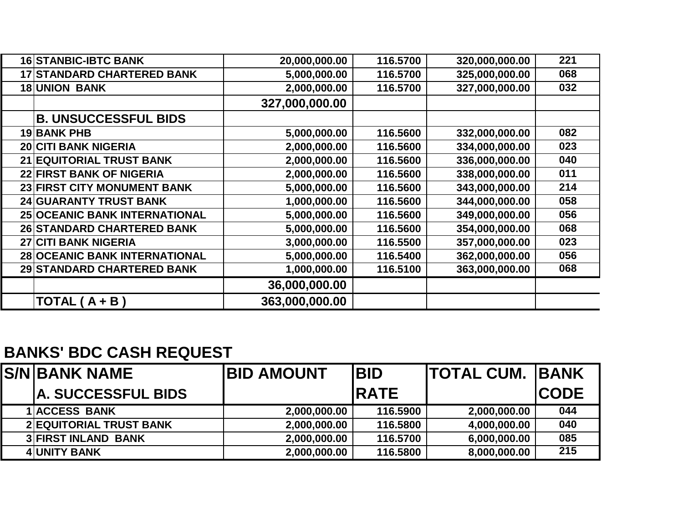| <b>16 STANBIC-IBTC BANK</b>          | 20,000,000.00  | 116.5700 | 320,000,000.00 | 221 |
|--------------------------------------|----------------|----------|----------------|-----|
| <b>17 STANDARD CHARTERED BANK</b>    | 5,000,000.00   | 116.5700 | 325,000,000.00 | 068 |
| <b>18 UNION BANK</b>                 | 2,000,000.00   | 116.5700 | 327,000,000.00 | 032 |
|                                      | 327,000,000.00 |          |                |     |
| <b>B. UNSUCCESSFUL BIDS</b>          |                |          |                |     |
| 19 BANK PHB                          | 5,000,000.00   | 116.5600 | 332,000,000.00 | 082 |
| <b>20 CITI BANK NIGERIA</b>          | 2,000,000.00   | 116.5600 | 334,000,000.00 | 023 |
| 21 EQUITORIAL TRUST BANK             | 2,000,000.00   | 116.5600 | 336,000,000.00 | 040 |
| 22 FIRST BANK OF NIGERIA             | 2,000,000.00   | 116.5600 | 338,000,000.00 | 011 |
| 23 FIRST CITY MONUMENT BANK          | 5,000,000.00   | 116.5600 | 343,000,000.00 | 214 |
| <b>24 GUARANTY TRUST BANK</b>        | 1,000,000.00   | 116.5600 | 344,000,000.00 | 058 |
| <b>25 OCEANIC BANK INTERNATIONAL</b> | 5,000,000.00   | 116.5600 | 349,000,000.00 | 056 |
| 26 STANDARD CHARTERED BANK           | 5,000,000.00   | 116.5600 | 354,000,000.00 | 068 |
| 27 CITI BANK NIGERIA                 | 3,000,000.00   | 116.5500 | 357,000,000.00 | 023 |
| 28 OCEANIC BANK INTERNATIONAL        | 5,000,000.00   | 116.5400 | 362,000,000.00 | 056 |
| 29 STANDARD CHARTERED BANK           | 1,000,000.00   | 116.5100 | 363,000,000.00 | 068 |
|                                      | 36,000,000.00  |          |                |     |
| $\overline{A}$ TOTAL (A + B)         | 363,000,000.00 |          |                |     |

## **BANKS' BDC CASH REQUEST**

| <b>S/NIBANK NAME</b>           | <b>BID AMOUNT</b> | <b>BID</b>  | <b>ITOTAL CUM. IBANK</b> |             |
|--------------------------------|-------------------|-------------|--------------------------|-------------|
| <b>IA. SUCCESSFUL BIDS</b>     |                   | <b>RATE</b> |                          | <b>CODE</b> |
| <b>1 ACCESS BANK</b>           | 2,000,000.00      | 116.5900    | 2,000,000.00             | 044         |
| <b>2 EQUITORIAL TRUST BANK</b> | 2,000,000.00      | 116.5800    | 4,000,000.00             | 040         |
| <b>3 FIRST INLAND BANK</b>     | 2,000,000.00      | 116.5700    | 6,000,000.00             | 085         |
| <b>4 UNITY BANK</b>            | 2,000,000.00      | 116.5800    | 8,000,000.00             | 215         |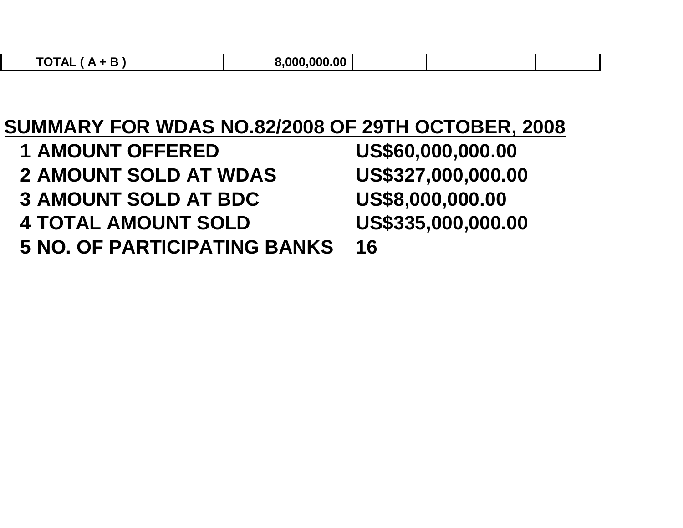## **SUMMARY FOR WDAS NO.82/2008 OF 29TH OCTOBER, 2008**

**<sup>1</sup> AMOUNT OFFERED US\$60,000,000.00**US\$327,000,000.00 **2 AMOUNT SOLD AT WDAS <sup>3</sup> AMOUNT SOLD AT BDC US\$8,000,000.00**US\$335,000,000.00 **4 TOTAL AMOUNT SOLD 5 NO. OF PARTICIPATING BANKS 16**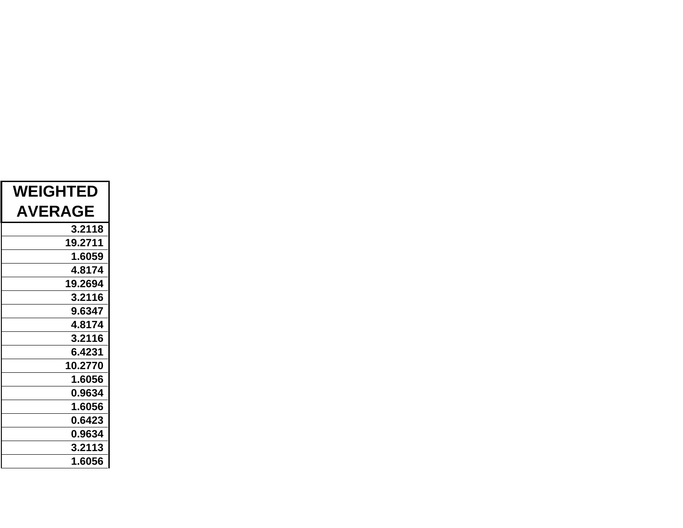| <b>WEIGHTED</b> |
|-----------------|
| <b>AVERAGE</b>  |
| 3.2118          |
| 19.2711         |
| 1.6059          |
| 4.8174          |
| 19.2694         |
| 3.2116          |
| 9.6347          |
| 4.8174          |
| 3.2116          |
| 6.4231          |
| 10.2770         |
| 1.6056          |
| 0.9634          |
| 1.6056          |
| 0.6423          |
| 0.9634          |
| 3.2113          |
| 1.6056          |